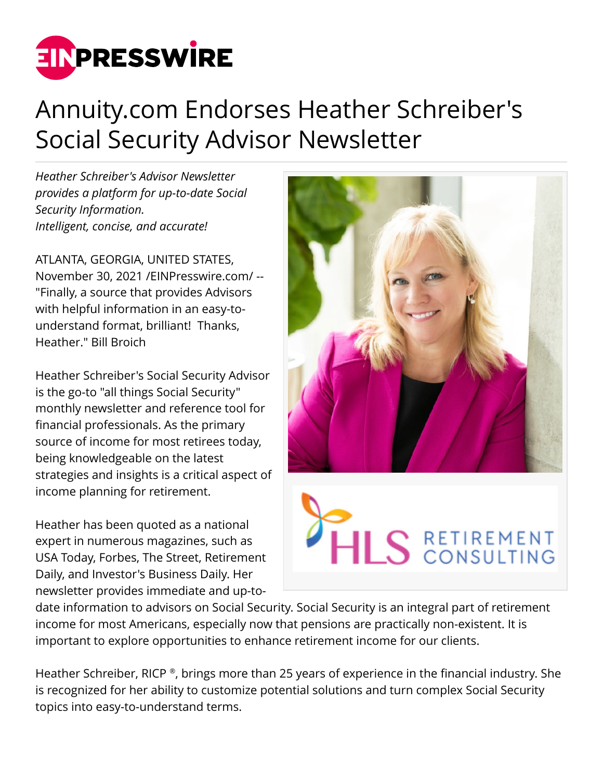

## Annuity.com Endorses Heather Schreiber's Social Security Advisor Newsletter

*Heather Schreiber's Advisor Newsletter provides a platform for up-to-date Social Security Information. Intelligent, concise, and accurate!* 

ATLANTA, GEORGIA, UNITED STATES, November 30, 2021 /[EINPresswire.com/](http://www.einpresswire.com) -- "Finally, a source that provides Advisors with helpful information in an easy-tounderstand format, brilliant! Thanks, Heather." Bill Broich

Heather Schreiber's Social Security Advisor is the go-to "all things Social Security" monthly newsletter and reference tool for financial professionals. As the primary source of income for most retirees today, being knowledgeable on the latest strategies and insights is a critical aspect of income planning for retirement.

Heather has been quoted as a national expert in numerous magazines, such as USA Today, Forbes, The Street, Retirement Daily, and Investor's Business Daily. Her newsletter provides immediate and up-to-



date information to advisors on Social Security. Social Security is an integral part of retirement income for most Americans, especially now that pensions are practically non-existent. It is important to explore opportunities to enhance retirement income for our clients.

Heather Schreiber, RICP ®, brings more than 25 years of experience in the financial industry. She is recognized for her ability to customize potential solutions and turn complex Social Security topics into easy-to-understand terms.